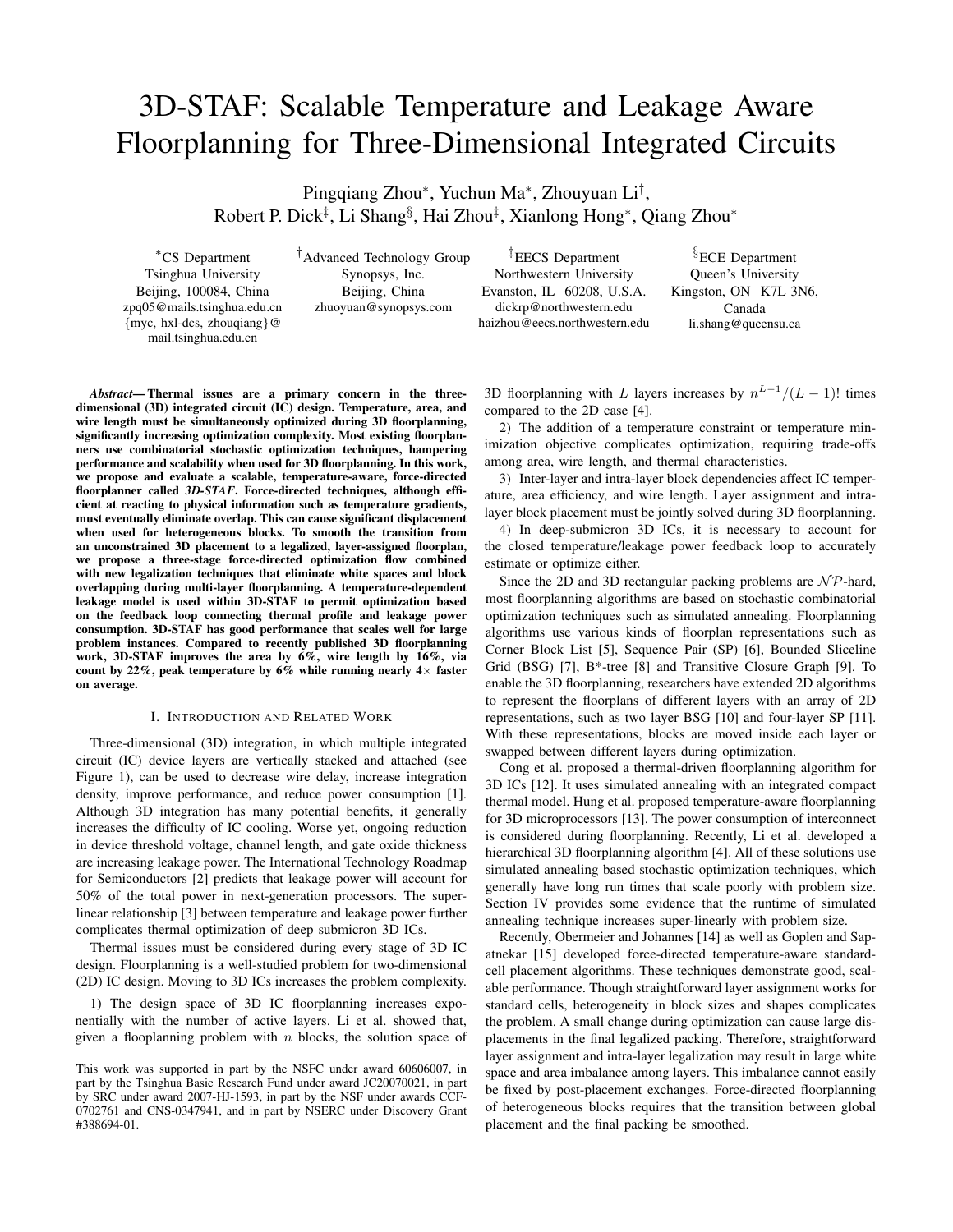# 3D-STAF: Scalable Temperature and Leakage Aware Floorplanning for Three-Dimensional Integrated Circuits

Pingqiang Zhou\*, Yuchun Ma\*, Zhouyuan Li<sup>†</sup>, Robert P. Dick<sup>‡</sup>, Li Shang<sup>§</sup>, Hai Zhou<sup>‡</sup>, Xianlong Hong\*, Qiang Zhou\*

<sup>∗</sup>CS Department Tsinghua University Beijing, 100084, China zpq05@mails.tsinghua.edu.cn {myc, hxl-dcs, zhouqiang}@ mail.tsinghua.edu.cn

†Advanced Technology Group Synopsys, Inc. Beijing, China zhuoyuan@synopsys.com

‡EECS Department Northwestern University Evanston, IL 60208, U.S.A. dickrp@northwestern.edu haizhou@eecs.northwestern.edu

<sup>§</sup>ECE Department Queen's University Kingston, ON K7L 3N6, Canada li.shang@queensu.ca

*Abstract*— Thermal issues are a primary concern in the threedimensional  $(3D)$  integrated circuit  $(IC)$  design. Temperature, area, and wire length must be simultaneously optimized during 3D floorplanning, significantly increasing optimization complexity. Most existing floorplanners use combinatorial stochastic optimization techniques, hampering performance and scalability when used for 3D floorplanning. In this work, we propose and evaluate a scalable, temperature-aware, force-directed floorplanner called *3D-STAF*. Force-directed techniques, although efficient at reacting to physical information such as temperature gradients, must eventually eliminate overlap. This can cause significant displacement when used for heterogeneous blocks. To smooth the transition from an unconstrained 3D placement to a legalized, layer-assigned floorplan, we propose a three-stage force-directed optimization flow combined with new legalization techniques that eliminate white spaces and block overlapping during multi-layer floorplanning. A temperature-dependent leakage model is used within 3D-STAF to permit optimization based on the feedback loop connecting thermal profile and leakage power consumption. 3D-STAF has good performance that scales well for large problem instances. Compared to recently published 3D floorplanning work, 3D-STAF improves the area by 6%, wire length by 16%, via count by 22%, peak temperature by 6% while running nearly  $4\times$  faster on average.

#### I. INTRODUCTION AND RELATED WORK

Three-dimensional (3D) integration, in which multiple integrated circuit (IC) device layers are vertically stacked and attached (see Figure 1), can be used to decrease wire delay, increase integration density, improve performance, and reduce power consumption [1]. Although 3D integration has many potential benefits, it generally increases the difficulty of IC cooling. Worse yet, ongoing reduction in device threshold voltage, channel length, and gate oxide thickness are increasing leakage power. The International Technology Roadmap for Semiconductors [2] predicts that leakage power will account for 50% of the total power in next-generation processors. The superlinear relationship [3] between temperature and leakage power further complicates thermal optimization of deep submicron 3D ICs.

Thermal issues must be considered during every stage of 3D IC design. Floorplanning is a well-studied problem for two-dimensional (2D) IC design. Moving to 3D ICs increases the problem complexity.

1) The design space of 3D IC floorplanning increases exponentially with the number of active layers. Li et al. showed that, given a flooplanning problem with  $n$  blocks, the solution space of

3D floorplanning with L layers increases by  $n^{L-1}/(L-1)!$  times compared to the 2D case [4].

2) The addition of a temperature constraint or temperature minimization objective complicates optimization, requiring trade-offs among area, wire length, and thermal characteristics.

3) Inter-layer and intra-layer block dependencies affect IC temperature, area efficiency, and wire length. Layer assignment and intralayer block placement must be jointly solved during 3D floorplanning.

4) In deep-submicron 3D ICs, it is necessary to account for the closed temperature/leakage power feedback loop to accurately estimate or optimize either.

Since the 2D and 3D rectangular packing problems are  $N\mathcal{P}$ -hard, most floorplanning algorithms are based on stochastic combinatorial optimization techniques such as simulated annealing. Floorplanning algorithms use various kinds of floorplan representations such as Corner Block List [5], Sequence Pair (SP) [6], Bounded Sliceline Grid (BSG) [7], B\*-tree [8] and Transitive Closure Graph [9]. To enable the 3D floorplanning, researchers have extended 2D algorithms to represent the floorplans of different layers with an array of 2D representations, such as two layer BSG [10] and four-layer SP [11]. With these representations, blocks are moved inside each layer or swapped between different layers during optimization.

Cong et al. proposed a thermal-driven floorplanning algorithm for 3D ICs [12]. It uses simulated annealing with an integrated compact thermal model. Hung et al. proposed temperature-aware floorplanning for 3D microprocessors [13]. The power consumption of interconnect is considered during floorplanning. Recently, Li et al. developed a hierarchical 3D floorplanning algorithm [4]. All of these solutions use simulated annealing based stochastic optimization techniques, which generally have long run times that scale poorly with problem size. Section IV provides some evidence that the runtime of simulated annealing technique increases super-linearly with problem size.

Recently, Obermeier and Johannes [14] as well as Goplen and Sapatnekar [15] developed force-directed temperature-aware standardcell placement algorithms. These techniques demonstrate good, scalable performance. Though straightforward layer assignment works for standard cells, heterogeneity in block sizes and shapes complicates the problem. A small change during optimization can cause large displacements in the final legalized packing. Therefore, straightforward layer assignment and intra-layer legalization may result in large white space and area imbalance among layers. This imbalance cannot easily be fixed by post-placement exchanges. Force-directed floorplanning of heterogeneous blocks requires that the transition between global placement and the final packing be smoothed.

This work was supported in part by the NSFC under award 60606007, in part by the Tsinghua Basic Research Fund under award JC20070021, in part by SRC under award 2007-HJ-1593, in part by the NSF under awards CCF-0702761 and CNS-0347941, and in part by NSERC under Discovery Grant #388694-01.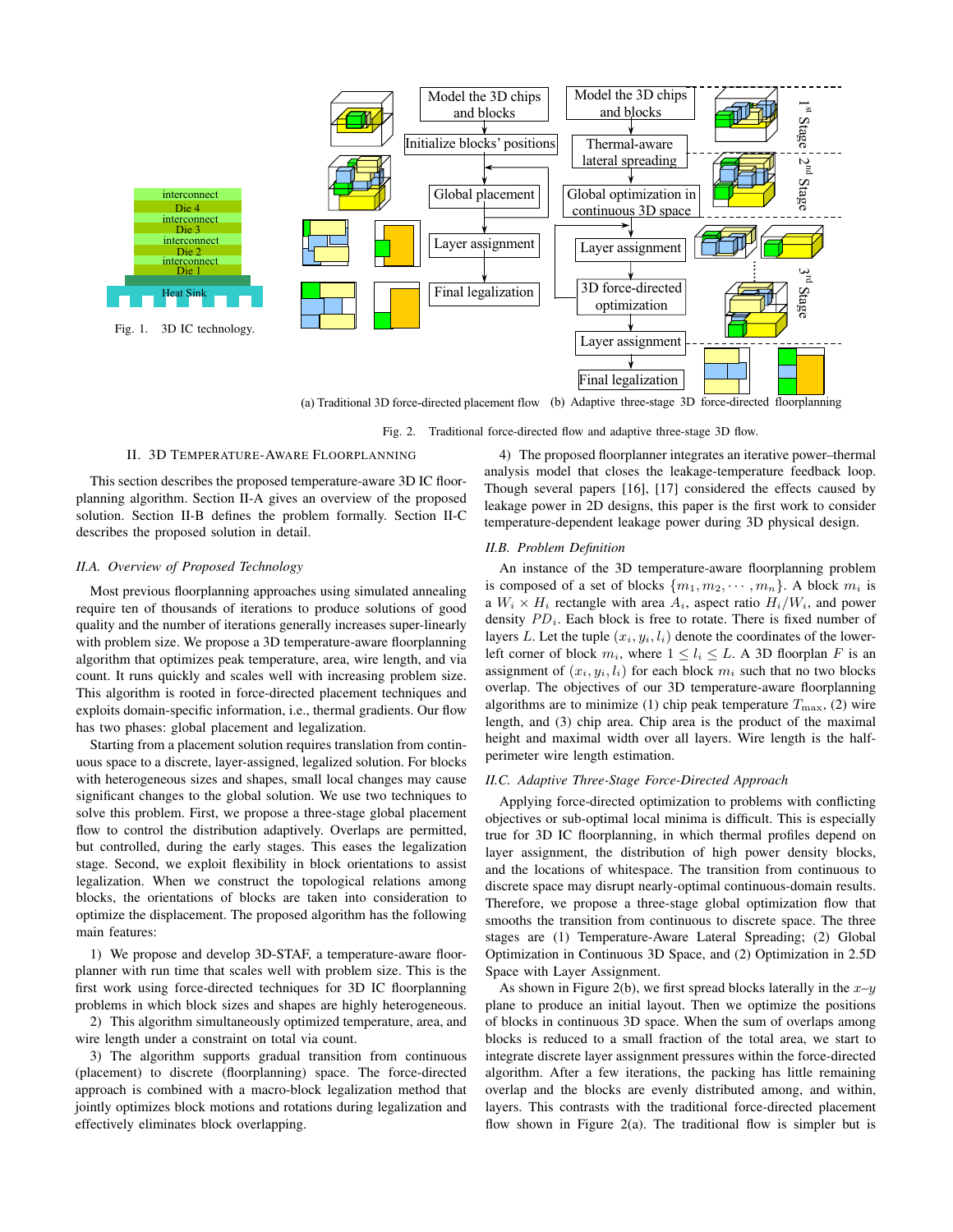

(a) Traditional 3D force-directed placement flow (b) Adaptive three-stage 3D force-directed floorplanning

Fig. 2. Traditional force-directed flow and adaptive three-stage 3D flow.

# II. 3D TEMPERATURE-AWARE FLOORPLANNING

This section describes the proposed temperature-aware 3D IC floorplanning algorithm. Section II-A gives an overview of the proposed solution. Section II-B defines the problem formally. Section II-C describes the proposed solution in detail.

# *II.A. Overview of Proposed Technology*

Most previous floorplanning approaches using simulated annealing require ten of thousands of iterations to produce solutions of good quality and the number of iterations generally increases super-linearly with problem size. We propose a 3D temperature-aware floorplanning algorithm that optimizes peak temperature, area, wire length, and via count. It runs quickly and scales well with increasing problem size. This algorithm is rooted in force-directed placement techniques and exploits domain-specific information, i.e., thermal gradients. Our flow has two phases: global placement and legalization.

Starting from a placement solution requires translation from continuous space to a discrete, layer-assigned, legalized solution. For blocks with heterogeneous sizes and shapes, small local changes may cause significant changes to the global solution. We use two techniques to solve this problem. First, we propose a three-stage global placement flow to control the distribution adaptively. Overlaps are permitted, but controlled, during the early stages. This eases the legalization stage. Second, we exploit flexibility in block orientations to assist legalization. When we construct the topological relations among blocks, the orientations of blocks are taken into consideration to optimize the displacement. The proposed algorithm has the following main features:

1) We propose and develop 3D-STAF, a temperature-aware floorplanner with run time that scales well with problem size. This is the first work using force-directed techniques for 3D IC floorplanning problems in which block sizes and shapes are highly heterogeneous.

2) This algorithm simultaneously optimized temperature, area, and wire length under a constraint on total via count.

3) The algorithm supports gradual transition from continuous (placement) to discrete (floorplanning) space. The force-directed approach is combined with a macro-block legalization method that jointly optimizes block motions and rotations during legalization and effectively eliminates block overlapping.

4) The proposed floorplanner integrates an iterative power–thermal analysis model that closes the leakage-temperature feedback loop. Though several papers [16], [17] considered the effects caused by leakage power in 2D designs, this paper is the first work to consider temperature-dependent leakage power during 3D physical design.

# *II.B. Problem Definition*

An instance of the 3D temperature-aware floorplanning problem is composed of a set of blocks  $\{m_1, m_2, \cdots, m_n\}$ . A block  $m_i$  is a  $W_i \times H_i$  rectangle with area  $A_i$ , aspect ratio  $H_i/W_i$ , and power density  $PD_i$ . Each block is free to rotate. There is fixed number of layers L. Let the tuple  $(x_i, y_i, l_i)$  denote the coordinates of the lowerleft corner of block  $m_i$ , where  $1 \leq l_i \leq L$ . A 3D floorplan F is an assignment of  $(x_i, y_i, l_i)$  for each block  $m_i$  such that no two blocks overlap. The objectives of our 3D temperature-aware floorplanning algorithms are to minimize (1) chip peak temperature  $T_{\text{max}}$ , (2) wire length, and (3) chip area. Chip area is the product of the maximal height and maximal width over all layers. Wire length is the halfperimeter wire length estimation.

### *II.C. Adaptive Three-Stage Force-Directed Approach*

Applying force-directed optimization to problems with conflicting objectives or sub-optimal local minima is difficult. This is especially true for 3D IC floorplanning, in which thermal profiles depend on layer assignment, the distribution of high power density blocks, and the locations of whitespace. The transition from continuous to discrete space may disrupt nearly-optimal continuous-domain results. Therefore, we propose a three-stage global optimization flow that smooths the transition from continuous to discrete space. The three stages are (1) Temperature-Aware Lateral Spreading; (2) Global Optimization in Continuous 3D Space, and (2) Optimization in 2.5D Space with Layer Assignment.

As shown in Figure 2(b), we first spread blocks laterally in the  $x-y$ plane to produce an initial layout. Then we optimize the positions of blocks in continuous 3D space. When the sum of overlaps among blocks is reduced to a small fraction of the total area, we start to integrate discrete layer assignment pressures within the force-directed algorithm. After a few iterations, the packing has little remaining overlap and the blocks are evenly distributed among, and within, layers. This contrasts with the traditional force-directed placement flow shown in Figure 2(a). The traditional flow is simpler but is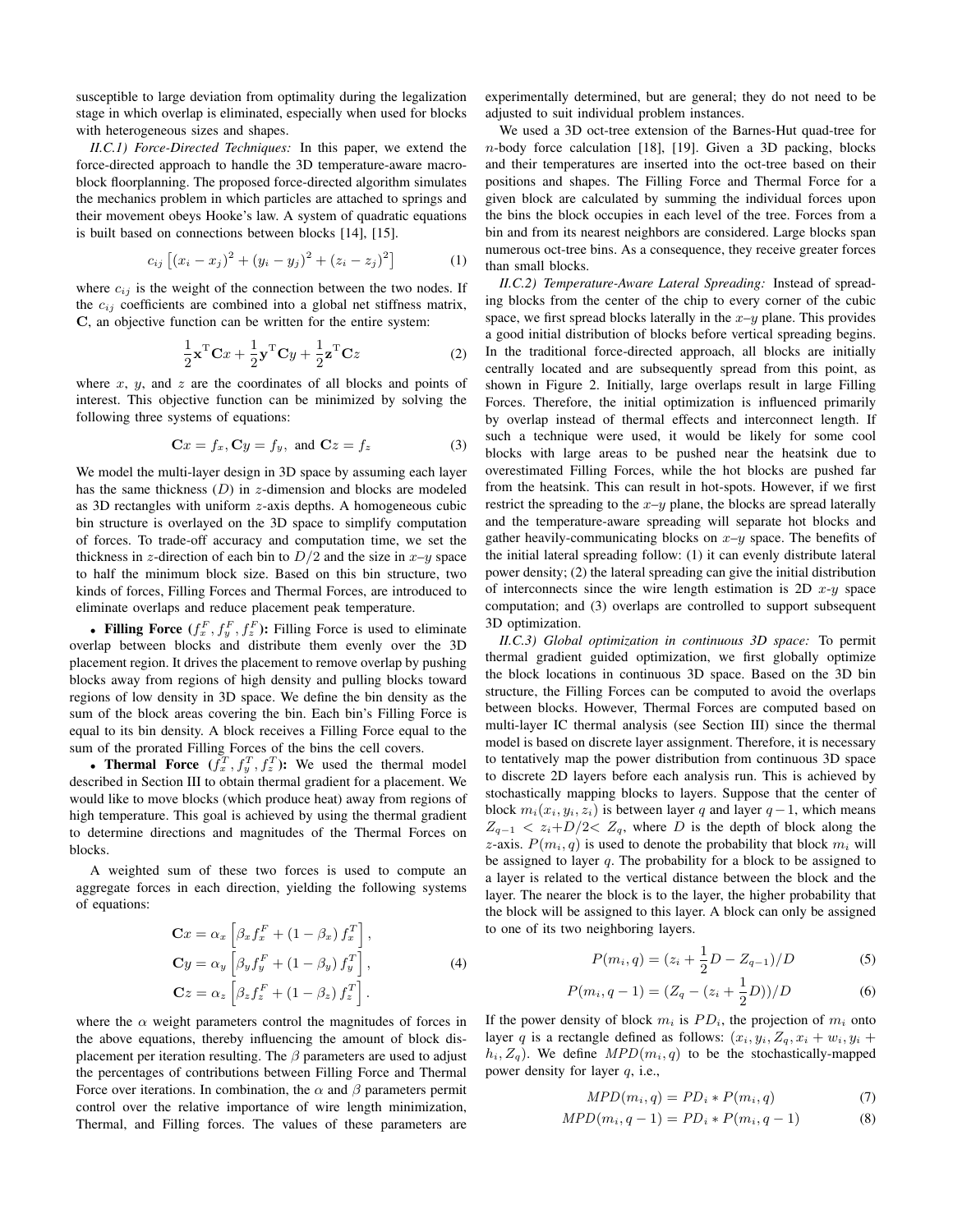susceptible to large deviation from optimality during the legalization stage in which overlap is eliminated, especially when used for blocks with heterogeneous sizes and shapes.

*II.C.1) Force-Directed Techniques:* In this paper, we extend the force-directed approach to handle the 3D temperature-aware macroblock floorplanning. The proposed force-directed algorithm simulates the mechanics problem in which particles are attached to springs and their movement obeys Hooke's law. A system of quadratic equations is built based on connections between blocks [14], [15].

$$
c_{ij}\left[ (x_i - x_j)^2 + (y_i - y_j)^2 + (z_i - z_j)^2 \right] \tag{1}
$$

where  $c_{ij}$  is the weight of the connection between the two nodes. If the  $c_{ij}$  coefficients are combined into a global net stiffness matrix, C, an objective function can be written for the entire system:

$$
\frac{1}{2}\mathbf{x}^{\mathrm{T}}\mathbf{C}x + \frac{1}{2}\mathbf{y}^{\mathrm{T}}\mathbf{C}y + \frac{1}{2}\mathbf{z}^{\mathrm{T}}\mathbf{C}z
$$
 (2)

where  $x$ ,  $y$ , and  $z$  are the coordinates of all blocks and points of interest. This objective function can be minimized by solving the following three systems of equations:

$$
\mathbf{C}x = f_x, \mathbf{C}y = f_y, \text{ and } \mathbf{C}z = f_z \tag{3}
$$

We model the multi-layer design in 3D space by assuming each layer has the same thickness  $(D)$  in z-dimension and blocks are modeled as 3D rectangles with uniform z-axis depths. A homogeneous cubic bin structure is overlayed on the 3D space to simplify computation of forces. To trade-off accuracy and computation time, we set the thickness in z-direction of each bin to  $D/2$  and the size in  $x-y$  space to half the minimum block size. Based on this bin structure, two kinds of forces, Filling Forces and Thermal Forces, are introduced to eliminate overlaps and reduce placement peak temperature.

• Filling Force  $(f_x^F, f_y^F, f_z^F)$ : Filling Force is used to eliminate overlap between blocks and distribute them evenly over the 3D placement region. It drives the placement to remove overlap by pushing blocks away from regions of high density and pulling blocks toward regions of low density in 3D space. We define the bin density as the sum of the block areas covering the bin. Each bin's Filling Force is equal to its bin density. A block receives a Filling Force equal to the sum of the prorated Filling Forces of the bins the cell covers.

• Thermal Force  $(f_x^T, f_y^T, f_z^T)$ : We used the thermal model described in Section III to obtain thermal gradient for a placement. We would like to move blocks (which produce heat) away from regions of high temperature. This goal is achieved by using the thermal gradient to determine directions and magnitudes of the Thermal Forces on blocks.

A weighted sum of these two forces is used to compute an aggregate forces in each direction, yielding the following systems of equations:

$$
\mathbf{C}x = \alpha_x \left[ \beta_x f_x^F + (1 - \beta_x) f_x^T \right],
$$
  
\n
$$
\mathbf{C}y = \alpha_y \left[ \beta_y f_y^F + (1 - \beta_y) f_y^T \right],
$$
  
\n
$$
\mathbf{C}z = \alpha_z \left[ \beta_z f_z^F + (1 - \beta_z) f_z^T \right].
$$
\n(4)

where the  $\alpha$  weight parameters control the magnitudes of forces in the above equations, thereby influencing the amount of block displacement per iteration resulting. The  $\beta$  parameters are used to adjust the percentages of contributions between Filling Force and Thermal Force over iterations. In combination, the  $\alpha$  and  $\beta$  parameters permit control over the relative importance of wire length minimization, Thermal, and Filling forces. The values of these parameters are experimentally determined, but are general; they do not need to be adjusted to suit individual problem instances.

We used a 3D oct-tree extension of the Barnes-Hut quad-tree for n-body force calculation [18], [19]. Given a 3D packing, blocks and their temperatures are inserted into the oct-tree based on their positions and shapes. The Filling Force and Thermal Force for a given block are calculated by summing the individual forces upon the bins the block occupies in each level of the tree. Forces from a bin and from its nearest neighbors are considered. Large blocks span numerous oct-tree bins. As a consequence, they receive greater forces than small blocks.

*II.C.2) Temperature-Aware Lateral Spreading:* Instead of spreading blocks from the center of the chip to every corner of the cubic space, we first spread blocks laterally in the  $x-y$  plane. This provides a good initial distribution of blocks before vertical spreading begins. In the traditional force-directed approach, all blocks are initially centrally located and are subsequently spread from this point, as shown in Figure 2. Initially, large overlaps result in large Filling Forces. Therefore, the initial optimization is influenced primarily by overlap instead of thermal effects and interconnect length. If such a technique were used, it would be likely for some cool blocks with large areas to be pushed near the heatsink due to overestimated Filling Forces, while the hot blocks are pushed far from the heatsink. This can result in hot-spots. However, if we first restrict the spreading to the  $x-y$  plane, the blocks are spread laterally and the temperature-aware spreading will separate hot blocks and gather heavily-communicating blocks on  $x-y$  space. The benefits of the initial lateral spreading follow: (1) it can evenly distribute lateral power density; (2) the lateral spreading can give the initial distribution of interconnects since the wire length estimation is 2D  $x-y$  space computation; and (3) overlaps are controlled to support subsequent 3D optimization.

*II.C.3) Global optimization in continuous 3D space:* To permit thermal gradient guided optimization, we first globally optimize the block locations in continuous 3D space. Based on the 3D bin structure, the Filling Forces can be computed to avoid the overlaps between blocks. However, Thermal Forces are computed based on multi-layer IC thermal analysis (see Section III) since the thermal model is based on discrete layer assignment. Therefore, it is necessary to tentatively map the power distribution from continuous 3D space to discrete 2D layers before each analysis run. This is achieved by stochastically mapping blocks to layers. Suppose that the center of block  $m_i(x_i, y_i, z_i)$  is between layer q and layer  $q-1$ , which means  $Z_{q-1}$  <  $z_i+D/2$  <  $Z_q$ , where D is the depth of block along the z-axis.  $P(m_i, q)$  is used to denote the probability that block  $m_i$  will be assigned to layer  $q$ . The probability for a block to be assigned to a layer is related to the vertical distance between the block and the layer. The nearer the block is to the layer, the higher probability that the block will be assigned to this layer. A block can only be assigned to one of its two neighboring layers.

$$
P(m_i, q) = (z_i + \frac{1}{2}D - Z_{q-1})/D
$$
 (5)

$$
P(m_i, q-1) = (Z_q - (z_i + \frac{1}{2}D))/D \tag{6}
$$

If the power density of block  $m_i$  is  $PD_i$ , the projection of  $m_i$  onto layer q is a rectangle defined as follows:  $(x_i, y_i, Z_q, x_i + w_i, y_i +$  $h_i, Z_q$ ). We define  $MPD(m_i, q)$  to be the stochastically-mapped power density for layer q, i.e.,

$$
MPD(m_i, q) = PD_i * P(m_i, q)
$$
\n<sup>(7)</sup>

$$
MPD(m_i, q-1) = PD_i * P(m_i, q-1)
$$
 (8)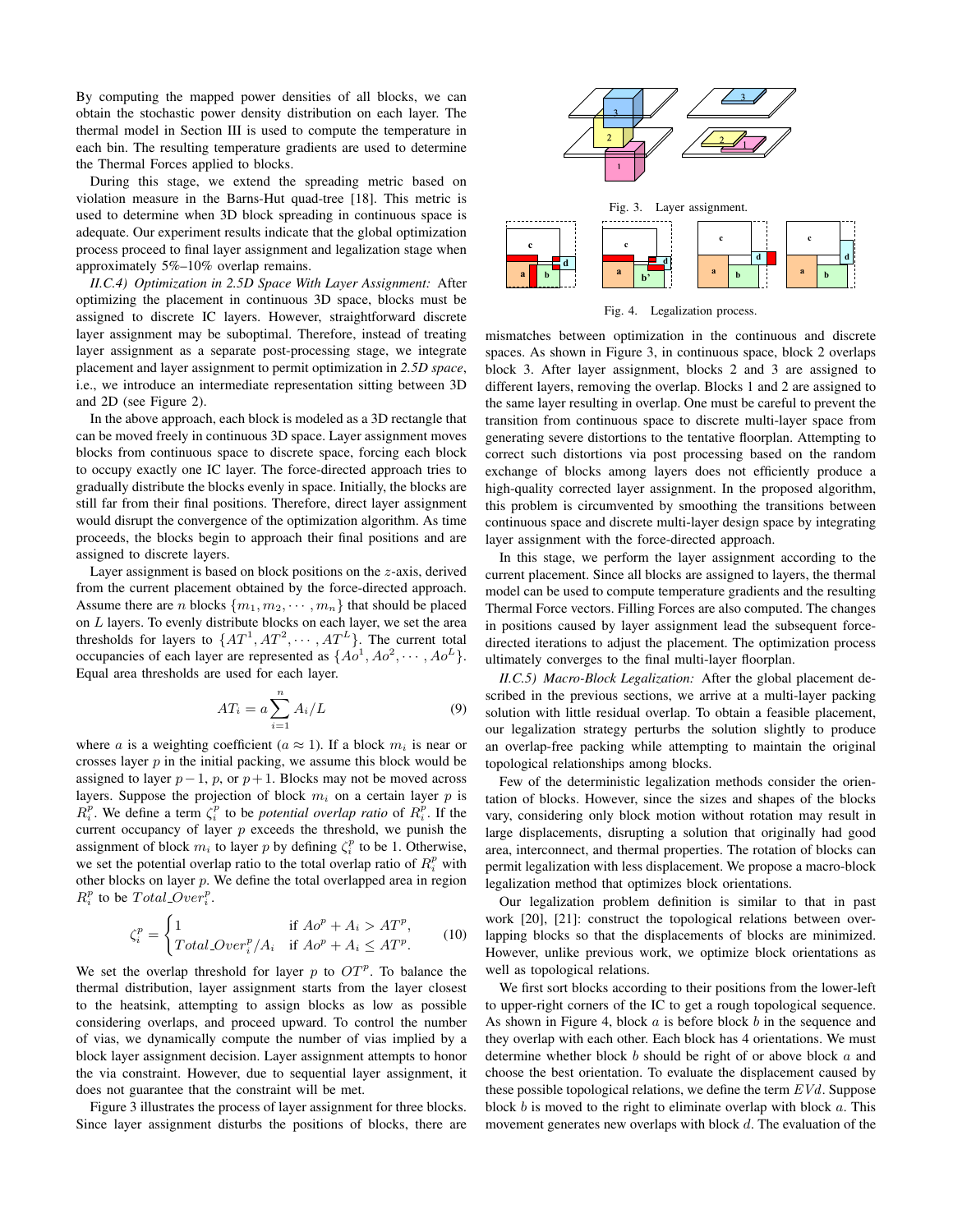By computing the mapped power densities of all blocks, we can obtain the stochastic power density distribution on each layer. The thermal model in Section III is used to compute the temperature in each bin. The resulting temperature gradients are used to determine the Thermal Forces applied to blocks.

During this stage, we extend the spreading metric based on violation measure in the Barns-Hut quad-tree [18]. This metric is used to determine when 3D block spreading in continuous space is adequate. Our experiment results indicate that the global optimization process proceed to final layer assignment and legalization stage when approximately 5%–10% overlap remains.

*II.C.4) Optimization in 2.5D Space With Layer Assignment:* After optimizing the placement in continuous 3D space, blocks must be assigned to discrete IC layers. However, straightforward discrete layer assignment may be suboptimal. Therefore, instead of treating layer assignment as a separate post-processing stage, we integrate placement and layer assignment to permit optimization in *2.5D space*, i.e., we introduce an intermediate representation sitting between 3D and 2D (see Figure 2).

In the above approach, each block is modeled as a 3D rectangle that can be moved freely in continuous 3D space. Layer assignment moves blocks from continuous space to discrete space, forcing each block to occupy exactly one IC layer. The force-directed approach tries to gradually distribute the blocks evenly in space. Initially, the blocks are still far from their final positions. Therefore, direct layer assignment would disrupt the convergence of the optimization algorithm. As time proceeds, the blocks begin to approach their final positions and are assigned to discrete layers.

Layer assignment is based on block positions on the z-axis, derived from the current placement obtained by the force-directed approach. Assume there are *n* blocks  $\{m_1, m_2, \cdots, m_n\}$  that should be placed on  $L$  layers. To evenly distribute blocks on each layer, we set the area thresholds for layers to  $\{AT^1, AT^2, \cdots, AT^L\}$ . The current total occupancies of each layer are represented as  $\{Ao^1, Ao^2, \cdots, Ao^L\}$ . Equal area thresholds are used for each layer.

$$
AT_i = a \sum_{i=1}^{n} A_i / L \tag{9}
$$

where a is a weighting coefficient ( $a \approx 1$ ). If a block  $m_i$  is near or crosses layer  $p$  in the initial packing, we assume this block would be assigned to layer  $p-1$ ,  $p$ , or  $p+1$ . Blocks may not be moved across layers. Suppose the projection of block  $m_i$  on a certain layer  $p$  is  $R_i^p$ . We define a term  $\zeta_i^p$  to be *potential overlap ratio* of  $R_i^p$ . If the current occupancy of layer  $p$  exceeds the threshold, we punish the assignment of block  $m_i$  to layer p by defining  $\zeta_i^p$  to be 1. Otherwise, we set the potential overlap ratio to the total overlap ratio of  $R_i^p$  with other blocks on layer  $p$ . We define the total overlapped area in region  $R_i^p$  to be  $Total\_{Over}^p$ .

$$
\zeta_i^p = \begin{cases}\n1 & \text{if } Ao^p + A_i > A T^p, \\
Total\text{Over}_i^p / A_i & \text{if } Ao^p + A_i \leq A T^p.\n\end{cases}
$$
\n(10)

We set the overlap threshold for layer  $p$  to  $OT<sup>p</sup>$ . To balance the thermal distribution, layer assignment starts from the layer closest to the heatsink, attempting to assign blocks as low as possible considering overlaps, and proceed upward. To control the number of vias, we dynamically compute the number of vias implied by a block layer assignment decision. Layer assignment attempts to honor the via constraint. However, due to sequential layer assignment, it does not guarantee that the constraint will be met.

Figure 3 illustrates the process of layer assignment for three blocks. Since layer assignment disturbs the positions of blocks, there are



Fig. 4. Legalization process.

mismatches between optimization in the continuous and discrete spaces. As shown in Figure 3, in continuous space, block 2 overlaps block 3. After layer assignment, blocks 2 and 3 are assigned to different layers, removing the overlap. Blocks 1 and 2 are assigned to the same layer resulting in overlap. One must be careful to prevent the transition from continuous space to discrete multi-layer space from generating severe distortions to the tentative floorplan. Attempting to correct such distortions via post processing based on the random exchange of blocks among layers does not efficiently produce a high-quality corrected layer assignment. In the proposed algorithm, this problem is circumvented by smoothing the transitions between continuous space and discrete multi-layer design space by integrating layer assignment with the force-directed approach.

In this stage, we perform the layer assignment according to the current placement. Since all blocks are assigned to layers, the thermal model can be used to compute temperature gradients and the resulting Thermal Force vectors. Filling Forces are also computed. The changes in positions caused by layer assignment lead the subsequent forcedirected iterations to adjust the placement. The optimization process ultimately converges to the final multi-layer floorplan.

*II.C.5) Macro-Block Legalization:* After the global placement described in the previous sections, we arrive at a multi-layer packing solution with little residual overlap. To obtain a feasible placement, our legalization strategy perturbs the solution slightly to produce an overlap-free packing while attempting to maintain the original topological relationships among blocks.

Few of the deterministic legalization methods consider the orientation of blocks. However, since the sizes and shapes of the blocks vary, considering only block motion without rotation may result in large displacements, disrupting a solution that originally had good area, interconnect, and thermal properties. The rotation of blocks can permit legalization with less displacement. We propose a macro-block legalization method that optimizes block orientations.

Our legalization problem definition is similar to that in past work [20], [21]: construct the topological relations between overlapping blocks so that the displacements of blocks are minimized. However, unlike previous work, we optimize block orientations as well as topological relations.

We first sort blocks according to their positions from the lower-left to upper-right corners of the IC to get a rough topological sequence. As shown in Figure 4, block  $a$  is before block  $b$  in the sequence and they overlap with each other. Each block has 4 orientations. We must determine whether block b should be right of or above block a and choose the best orientation. To evaluate the displacement caused by these possible topological relations, we define the term  $EVd$ . Suppose block  $b$  is moved to the right to eliminate overlap with block  $a$ . This movement generates new overlaps with block d. The evaluation of the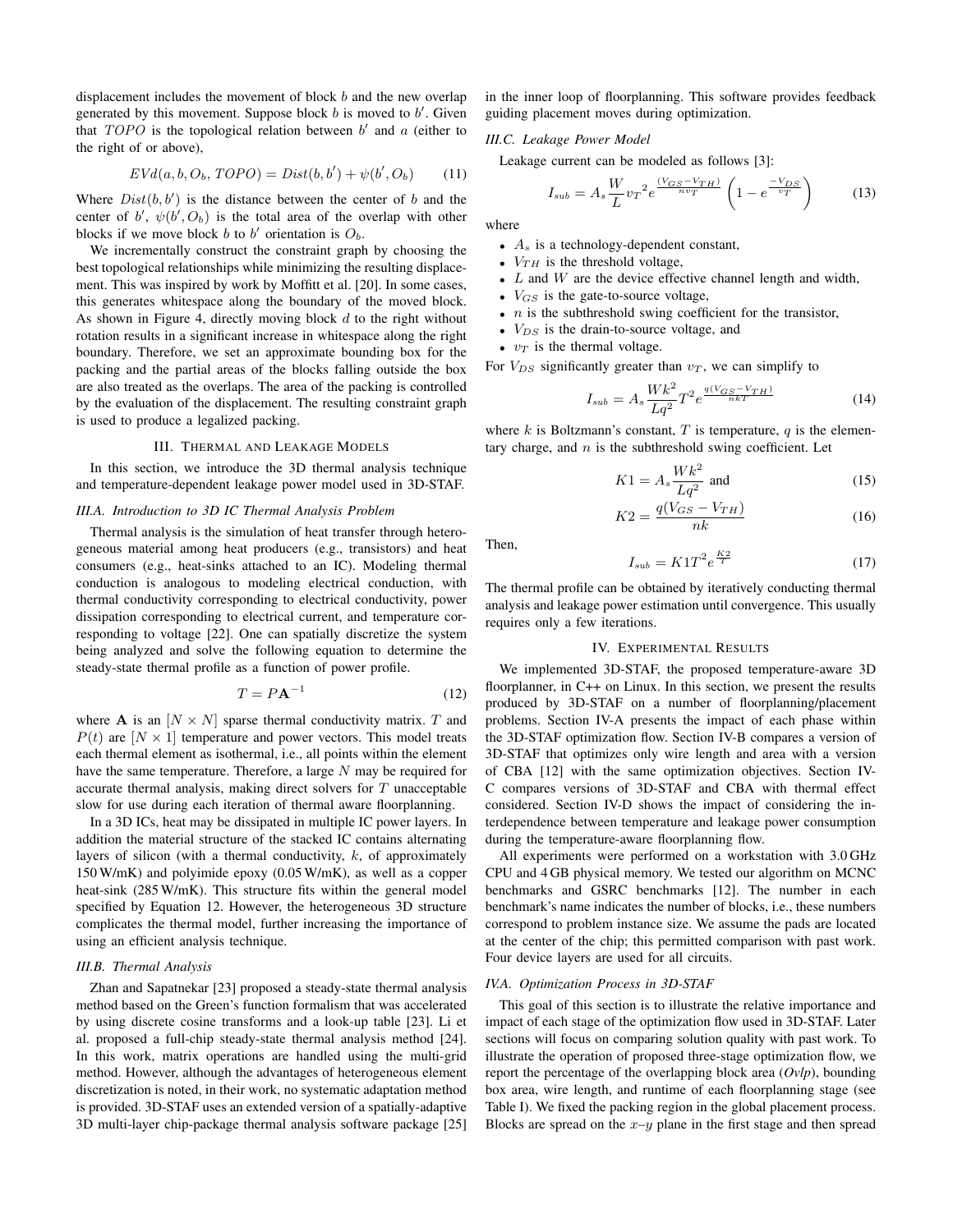displacement includes the movement of block b and the new overlap generated by this movement. Suppose block  $b$  is moved to  $b'$ . Given that  $TOPO$  is the topological relation between  $b'$  and  $a$  (either to the right of or above),

$$
EVd(a, b, O_b, TOPO) = Dist(b, b') + \psi(b', O_b)
$$
 (11)

Where  $Dist(b, b')$  is the distance between the center of b and the center of b',  $\psi(b', O_b)$  is the total area of the overlap with other blocks if we move block b to b' orientation is  $O<sub>b</sub>$ .

We incrementally construct the constraint graph by choosing the best topological relationships while minimizing the resulting displacement. This was inspired by work by Moffitt et al. [20]. In some cases, this generates whitespace along the boundary of the moved block. As shown in Figure 4, directly moving block  $d$  to the right without rotation results in a significant increase in whitespace along the right boundary. Therefore, we set an approximate bounding box for the packing and the partial areas of the blocks falling outside the box are also treated as the overlaps. The area of the packing is controlled by the evaluation of the displacement. The resulting constraint graph is used to produce a legalized packing.

#### III. THERMAL AND LEAKAGE MODELS

In this section, we introduce the 3D thermal analysis technique and temperature-dependent leakage power model used in 3D-STAF.

## *III.A. Introduction to 3D IC Thermal Analysis Problem*

Thermal analysis is the simulation of heat transfer through heterogeneous material among heat producers (e.g., transistors) and heat consumers (e.g., heat-sinks attached to an IC). Modeling thermal conduction is analogous to modeling electrical conduction, with thermal conductivity corresponding to electrical conductivity, power dissipation corresponding to electrical current, and temperature corresponding to voltage [22]. One can spatially discretize the system being analyzed and solve the following equation to determine the steady-state thermal profile as a function of power profile.

$$
T = P\mathbf{A}^{-1} \tag{12}
$$

where **A** is an  $[N \times N]$  sparse thermal conductivity matrix. T and  $P(t)$  are  $[N \times 1]$  temperature and power vectors. This model treats each thermal element as isothermal, i.e., all points within the element have the same temperature. Therefore, a large  $N$  may be required for accurate thermal analysis, making direct solvers for  $T$  unacceptable slow for use during each iteration of thermal aware floorplanning.

In a 3D ICs, heat may be dissipated in multiple IC power layers. In addition the material structure of the stacked IC contains alternating layers of silicon (with a thermal conductivity,  $k$ , of approximately 150 W/mK) and polyimide epoxy (0.05 W/mK), as well as a copper heat-sink (285 W/mK). This structure fits within the general model specified by Equation 12. However, the heterogeneous 3D structure complicates the thermal model, further increasing the importance of using an efficient analysis technique.

# *III.B. Thermal Analysis*

Zhan and Sapatnekar [23] proposed a steady-state thermal analysis method based on the Green's function formalism that was accelerated by using discrete cosine transforms and a look-up table [23]. Li et al. proposed a full-chip steady-state thermal analysis method [24]. In this work, matrix operations are handled using the multi-grid method. However, although the advantages of heterogeneous element discretization is noted, in their work, no systematic adaptation method is provided. 3D-STAF uses an extended version of a spatially-adaptive 3D multi-layer chip-package thermal analysis software package [25]

in the inner loop of floorplanning. This software provides feedback guiding placement moves during optimization.

# *III.C. Leakage Power Model*

Leakage current can be modeled as follows [3]:

$$
I_{sub} = A_s \frac{W}{L} v_T^2 e^{\frac{(V_{GS} - V_{TH})}{nv_T}} \left( 1 - e^{\frac{-V_{DS}}{v_T}} \right)
$$
(13)

where

- $A_s$  is a technology-dependent constant,
- $V_{TH}$  is the threshold voltage,
- $L$  and  $W$  are the device effective channel length and width,
- $V_{GS}$  is the gate-to-source voltage,
- $n$  is the subthreshold swing coefficient for the transistor,
- $V_{DS}$  is the drain-to-source voltage, and
- $v_T$  is the thermal voltage.

For  $V_{DS}$  significantly greater than  $v_T$ , we can simplify to

$$
I_{sub} = A_s \frac{Wk^2}{Lq^2} T^2 e^{\frac{q(V_{GS} - V_{TH})}{nkT}}
$$
(14)

where k is Boltzmann's constant, T is temperature,  $q$  is the elementary charge, and  $n$  is the subthreshold swing coefficient. Let

$$
K1 = A_s \frac{Wk^2}{Lq^2}
$$
 and (15)

$$
K2 = \frac{q(V_{GS} - V_{TH})}{nk} \tag{16}
$$

Then,

$$
I_{sub} = K1T^2 e^{\frac{K2}{T}}
$$
 (17)

The thermal profile can be obtained by iteratively conducting thermal analysis and leakage power estimation until convergence. This usually requires only a few iterations.

## IV. EXPERIMENTAL RESULTS

We implemented 3D-STAF, the proposed temperature-aware 3D floorplanner, in C++ on Linux. In this section, we present the results produced by 3D-STAF on a number of floorplanning/placement problems. Section IV-A presents the impact of each phase within the 3D-STAF optimization flow. Section IV-B compares a version of 3D-STAF that optimizes only wire length and area with a version of CBA [12] with the same optimization objectives. Section IV-C compares versions of 3D-STAF and CBA with thermal effect considered. Section IV-D shows the impact of considering the interdependence between temperature and leakage power consumption during the temperature-aware floorplanning flow.

All experiments were performed on a workstation with 3.0 GHz CPU and 4 GB physical memory. We tested our algorithm on MCNC benchmarks and GSRC benchmarks [12]. The number in each benchmark's name indicates the number of blocks, i.e., these numbers correspond to problem instance size. We assume the pads are located at the center of the chip; this permitted comparison with past work. Four device layers are used for all circuits.

#### *IV.A. Optimization Process in 3D-STAF*

This goal of this section is to illustrate the relative importance and impact of each stage of the optimization flow used in 3D-STAF. Later sections will focus on comparing solution quality with past work. To illustrate the operation of proposed three-stage optimization flow, we report the percentage of the overlapping block area (*Ovlp*), bounding box area, wire length, and runtime of each floorplanning stage (see Table I). We fixed the packing region in the global placement process. Blocks are spread on the  $x-y$  plane in the first stage and then spread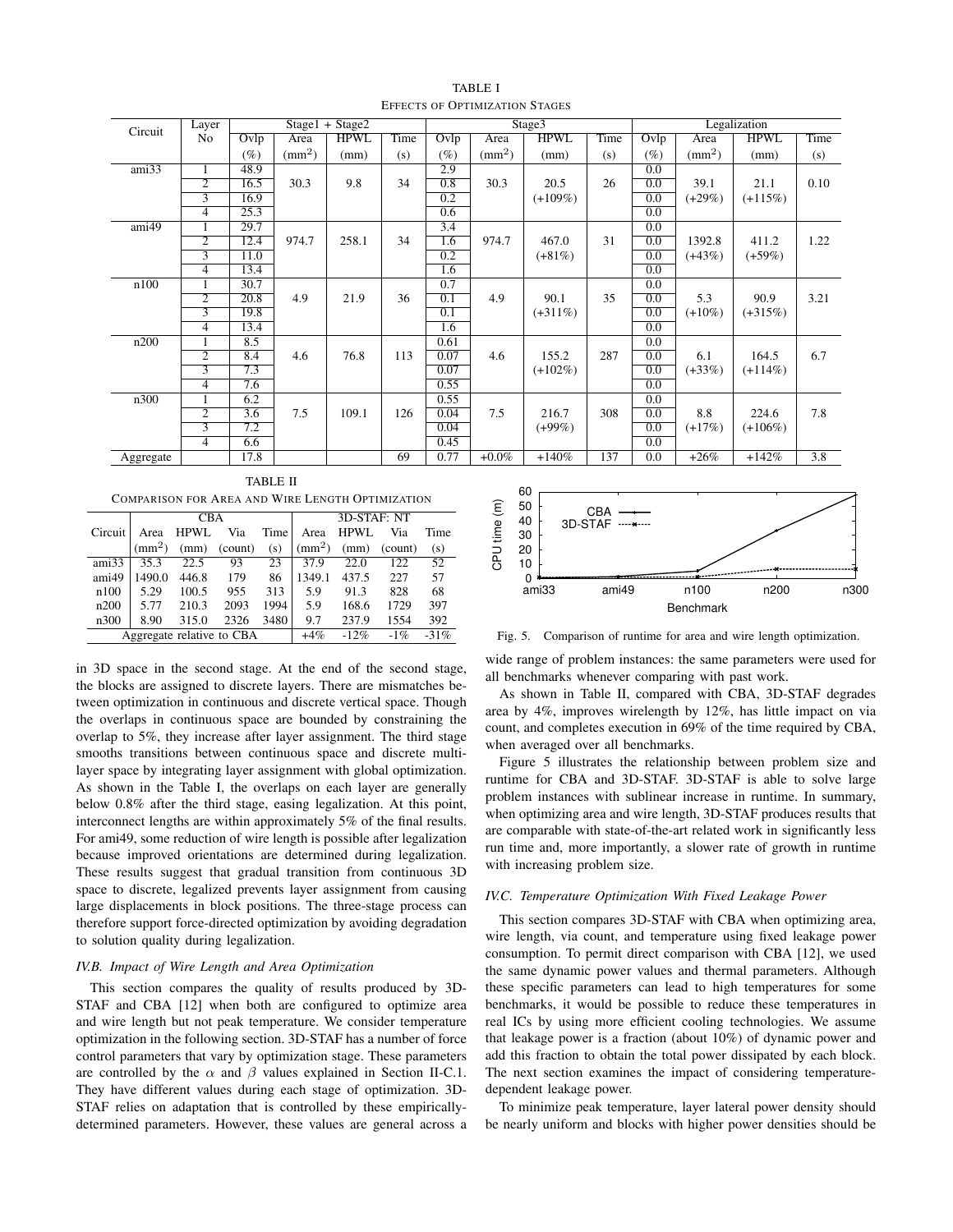| Circuit                              | Layer                   | $Stage1 + Stage2$ |                    |             |      |        | Stage3             |             |      |        | Legalization       |             |                  |  |
|--------------------------------------|-------------------------|-------------------|--------------------|-------------|------|--------|--------------------|-------------|------|--------|--------------------|-------------|------------------|--|
|                                      | No                      | Ovlp              | Area               | <b>HPWL</b> | Time | Ovlp   | Area               | <b>HPWL</b> | Time | Ovlp   | Area               | <b>HPWL</b> | Time             |  |
|                                      |                         | $(\%)$            | (mm <sup>2</sup> ) | (mm)        | (s)  | $(\%)$ | (mm <sup>2</sup> ) | (mm)        | (s)  | $(\%)$ | (mm <sup>2</sup> ) | (mm)        | (s)              |  |
| ami33                                | 1                       | 48.9              |                    |             |      | 2.9    |                    |             |      | 0.0    |                    |             |                  |  |
|                                      | $\overline{2}$          | 16.5              | 30.3               | 9.8         | 34   | 0.8    | 30.3               | 20.5        | 26   | 0.0    | 39.1               | 21.1        | 0.10             |  |
|                                      | $\overline{3}$          | 16.9              |                    |             |      | 0.2    |                    | $(+109\%)$  |      | 0.0    | $(+29%)$           | $(+115%)$   |                  |  |
|                                      | $\overline{4}$          | 25.3              |                    |             |      | 0.6    |                    |             |      | 0.0    |                    |             |                  |  |
| $\overline{\text{ami}49}$            |                         | 29.7              |                    |             |      | 3.4    |                    |             |      | 0.0    |                    |             |                  |  |
|                                      | $\overline{2}$          | 12.4              | 974.7              | 258.1       | 34   | 1.6    | 974.7              | 467.0       | 31   | 0.0    | 1392.8             | 411.2       | 1.22             |  |
|                                      | 3                       | 11.0              |                    |             |      | 0.2    |                    | $(+81\%)$   |      | 0.0    | $(+43%)$           | $(+59\%)$   |                  |  |
|                                      | $\overline{4}$          | 13.4              |                    |             |      | 1.6    |                    |             |      | 0.0    |                    |             |                  |  |
| n100                                 |                         | 30.7              |                    |             |      | 0.7    |                    |             |      | 0.0    |                    |             |                  |  |
|                                      | $\overline{2}$          | 20.8              | 4.9                | 21.9        | 36   | 0.1    | 4.9                | 90.1        | 35   | 0.0    | 5.3                | 90.9        | 3.21             |  |
|                                      | $\overline{3}$          | 19.8              |                    |             |      | 0.1    |                    | $(+311\%)$  |      | 0.0    | $(+10\%)$          | $(+315%)$   |                  |  |
|                                      | $\overline{4}$          | 13.4              |                    |             |      | 1.6    |                    |             |      | 0.0    |                    |             |                  |  |
| n200                                 |                         | 8.5               |                    |             |      | 0.61   |                    |             |      | 0.0    |                    |             |                  |  |
|                                      | $\overline{2}$          | 8.4               | 4.6                | 76.8        | 113  | 0.07   | 4.6                | 155.2       | 287  | 0.0    | 6.1                | 164.5       | 6.7              |  |
|                                      | $\overline{\mathbf{3}}$ | 7.3               |                    |             |      | 0.07   |                    | $(+102\%)$  |      | 0.0    | $(+33%)$           | $(+114\%)$  |                  |  |
|                                      | $\overline{4}$          | 7.6               |                    |             |      | 0.55   |                    |             |      | 0.0    |                    |             |                  |  |
| n300                                 |                         | 6.2               |                    |             |      | 0.55   |                    |             |      | 0.0    |                    |             |                  |  |
|                                      | $\overline{2}$          | 3.6               | 7.5                | 109.1       | 126  | 0.04   | 7.5                | 216.7       | 308  | 0.0    | 8.8                | 224.6       | 7.8              |  |
|                                      | $\overline{3}$          | 7.2               |                    |             |      | 0.04   |                    | $(+99\%)$   |      | 0.0    | $(+17%)$           | $(+106\%)$  |                  |  |
|                                      | $\overline{4}$          | 6.6               |                    |             |      | 0.45   |                    |             |      | 0.0    |                    |             |                  |  |
| Aggregate                            |                         | 17.8              |                    |             | 69   | 0.77   | $+0.0\%$           | $+140%$     | 137  | 0.0    | $+26%$             | $+142%$     | $\overline{3.8}$ |  |
| <b>TABLE II</b><br>$\mathbf{c} \cap$ |                         |                   |                    |             |      |        |                    |             |      |        |                    |             |                  |  |

TABLE I EFFECTS OF OPTIMIZATION STAGES

| <b>COMPARISON FOR AREA AND WIRE LENGTH OPTIMIZATION</b> |              |       |                           |       |              |        |         |      |  |  |
|---------------------------------------------------------|--------------|-------|---------------------------|-------|--------------|--------|---------|------|--|--|
|                                                         |              | CBA   |                           |       | 3D-STAF: NT  |        |         |      |  |  |
| Circuit                                                 | Area         | HPWL  | Via                       | Time  | Area         | HPWL   | Via     | Time |  |  |
|                                                         | $\text{m}^2$ | (mm)  | (count)                   | (s)   | $\text{m}^2$ | (mm)   | (count) | (s)  |  |  |
| ami33                                                   | 35.3         | 22.5  | 93                        | 23    | 37.9         | 22.0   | 122     | 52   |  |  |
| ami49                                                   | 1490.0       | 446.8 | 179                       | 86    | 1349.1       | 437.5  | 227     | 57   |  |  |
| n100                                                    | 5.29         | 100.5 | 955                       | 313   | 5.9          | 91.3   | 828     | 68   |  |  |
| n200                                                    | 5.77         | 210.3 | 2093                      | 1994  | 5.9          | 168.6  | 1729    | 397  |  |  |
| n300                                                    | 8.90         | 315.0 | 2326                      | 3480  | 9.7          | 237.9  | 1554    | 392  |  |  |
|                                                         |              |       | Aggregate relative to CBA | $+4%$ | $-12%$       | $-1\%$ | $-31%$  |      |  |  |

in 3D space in the second stage. At the end of the second stage, the blocks are assigned to discrete layers. There are mismatches between optimization in continuous and discrete vertical space. Though the overlaps in continuous space are bounded by constraining the overlap to 5%, they increase after layer assignment. The third stage smooths transitions between continuous space and discrete multilayer space by integrating layer assignment with global optimization. As shown in the Table I, the overlaps on each layer are generally below 0.8% after the third stage, easing legalization. At this point, interconnect lengths are within approximately 5% of the final results. For ami49, some reduction of wire length is possible after legalization because improved orientations are determined during legalization. These results suggest that gradual transition from continuous 3D space to discrete, legalized prevents layer assignment from causing large displacements in block positions. The three-stage process can therefore support force-directed optimization by avoiding degradation to solution quality during legalization.

# *IV.B. Impact of Wire Length and Area Optimization*

This section compares the quality of results produced by 3D-STAF and CBA [12] when both are configured to optimize area and wire length but not peak temperature. We consider temperature optimization in the following section. 3D-STAF has a number of force control parameters that vary by optimization stage. These parameters are controlled by the  $\alpha$  and  $\beta$  values explained in Section II-C.1. They have different values during each stage of optimization. 3D-STAF relies on adaptation that is controlled by these empiricallydetermined parameters. However, these values are general across a



Fig. 5. Comparison of runtime for area and wire length optimization.

wide range of problem instances: the same parameters were used for all benchmarks whenever comparing with past work.

As shown in Table II, compared with CBA, 3D-STAF degrades area by 4%, improves wirelength by 12%, has little impact on via count, and completes execution in 69% of the time required by CBA, when averaged over all benchmarks.

Figure 5 illustrates the relationship between problem size and runtime for CBA and 3D-STAF. 3D-STAF is able to solve large problem instances with sublinear increase in runtime. In summary, when optimizing area and wire length, 3D-STAF produces results that are comparable with state-of-the-art related work in significantly less run time and, more importantly, a slower rate of growth in runtime with increasing problem size.

### *IV.C. Temperature Optimization With Fixed Leakage Power*

This section compares 3D-STAF with CBA when optimizing area, wire length, via count, and temperature using fixed leakage power consumption. To permit direct comparison with CBA [12], we used the same dynamic power values and thermal parameters. Although these specific parameters can lead to high temperatures for some benchmarks, it would be possible to reduce these temperatures in real ICs by using more efficient cooling technologies. We assume that leakage power is a fraction (about 10%) of dynamic power and add this fraction to obtain the total power dissipated by each block. The next section examines the impact of considering temperaturedependent leakage power.

To minimize peak temperature, layer lateral power density should be nearly uniform and blocks with higher power densities should be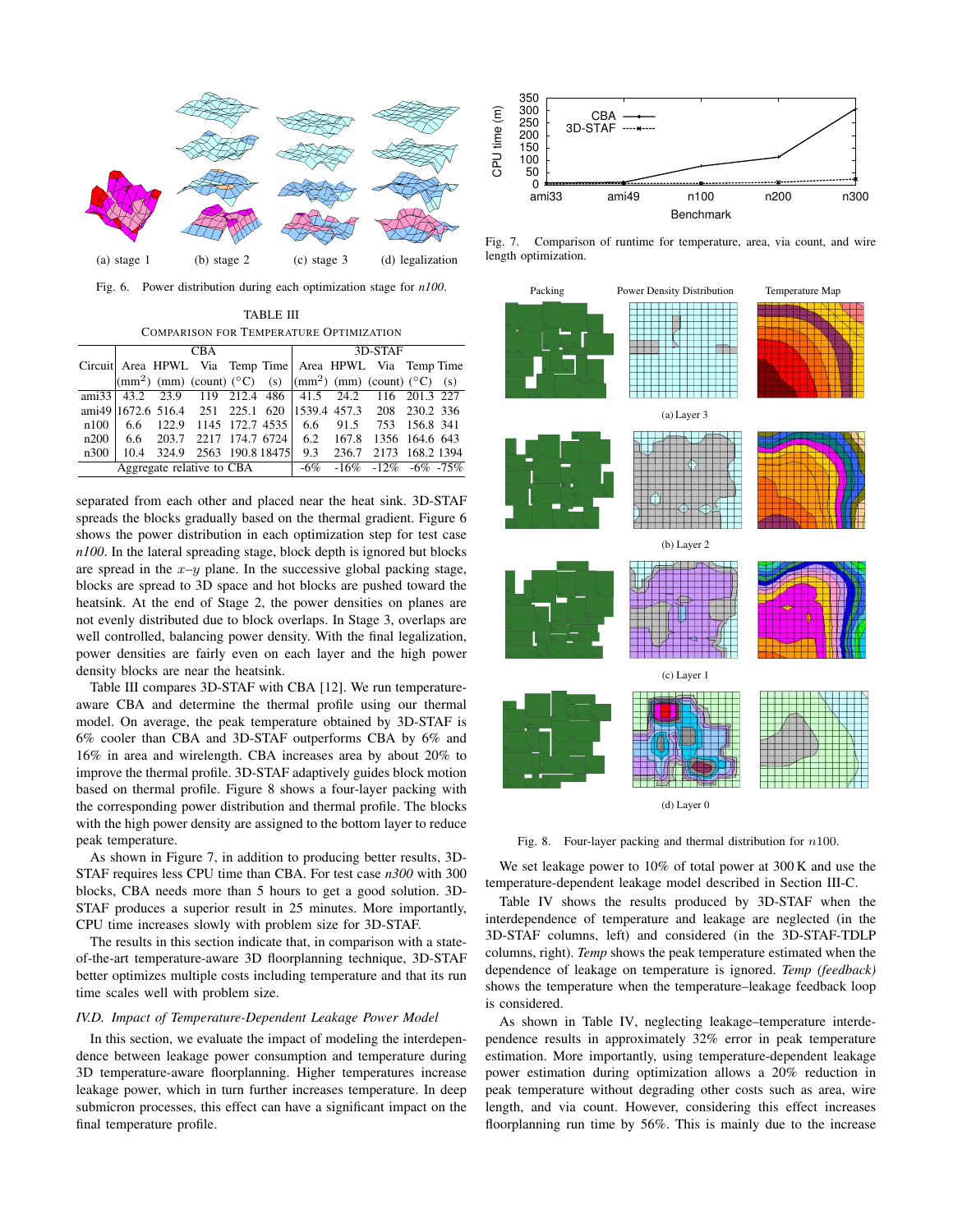

Fig. 6. Power distribution during each optimization stage for *n100*.

TABLE III COMPARISON FOR TEMPERATURE OPTIMIZATION

|      |  | CBA.                                                                                              |  | 3D-STAF |  |                               |  |  |  |
|------|--|---------------------------------------------------------------------------------------------------|--|---------|--|-------------------------------|--|--|--|
|      |  | Circuit Area HPWL Via Temp Time Area HPWL Via Temp Time                                           |  |         |  |                               |  |  |  |
|      |  | $\vert$ (mm <sup>2</sup> ) (mm) (count) (°C) (s) $\vert$ (mm <sup>2</sup> ) (mm) (count) (°C) (s) |  |         |  |                               |  |  |  |
|      |  | ami33 43.2 23.9 119 212.4 486 41.5 24.2 116 201.3 227                                             |  |         |  |                               |  |  |  |
|      |  | ami49 1672.6 516.4 251 225.1 620 1539.4 457.3 208 230.2 336                                       |  |         |  |                               |  |  |  |
|      |  | $n100$   6.6 122.9 1145 172.7 4535   6.6 91.5 753 156.8 341                                       |  |         |  |                               |  |  |  |
|      |  | n200   6.6 203.7 2217 174.7 6724   6.2 167.8 1356 164.6 643                                       |  |         |  |                               |  |  |  |
| n300 |  | 10.4 324.9 2563 190.8 18475                                                                       |  |         |  | 9.3 236.7 2173 168.2 1394     |  |  |  |
|      |  | Aggregate relative to CBA                                                                         |  |         |  | $-6\% -16\% -12\% -6\% -75\%$ |  |  |  |

separated from each other and placed near the heat sink. 3D-STAF spreads the blocks gradually based on the thermal gradient. Figure 6 shows the power distribution in each optimization step for test case *n100*. In the lateral spreading stage, block depth is ignored but blocks are spread in the  $x-y$  plane. In the successive global packing stage, blocks are spread to 3D space and hot blocks are pushed toward the heatsink. At the end of Stage 2, the power densities on planes are not evenly distributed due to block overlaps. In Stage 3, overlaps are well controlled, balancing power density. With the final legalization, power densities are fairly even on each layer and the high power density blocks are near the heatsink.

Table III compares 3D-STAF with CBA [12]. We run temperatureaware CBA and determine the thermal profile using our thermal model. On average, the peak temperature obtained by 3D-STAF is 6% cooler than CBA and 3D-STAF outperforms CBA by 6% and 16% in area and wirelength. CBA increases area by about 20% to improve the thermal profile. 3D-STAF adaptively guides block motion based on thermal profile. Figure 8 shows a four-layer packing with the corresponding power distribution and thermal profile. The blocks with the high power density are assigned to the bottom layer to reduce peak temperature.

As shown in Figure 7, in addition to producing better results, 3D-STAF requires less CPU time than CBA. For test case *n300* with 300 blocks, CBA needs more than 5 hours to get a good solution. 3D-STAF produces a superior result in 25 minutes. More importantly, CPU time increases slowly with problem size for 3D-STAF.

The results in this section indicate that, in comparison with a stateof-the-art temperature-aware 3D floorplanning technique, 3D-STAF better optimizes multiple costs including temperature and that its run time scales well with problem size.

## *IV.D. Impact of Temperature-Dependent Leakage Power Model*

In this section, we evaluate the impact of modeling the interdependence between leakage power consumption and temperature during 3D temperature-aware floorplanning. Higher temperatures increase leakage power, which in turn further increases temperature. In deep submicron processes, this effect can have a significant impact on the final temperature profile.



Fig. 7. Comparison of runtime for temperature, area, via count, and wire length optimization.



Fig. 8. Four-layer packing and thermal distribution for  $n100$ .

We set leakage power to 10% of total power at 300 K and use the temperature-dependent leakage model described in Section III-C.

Table IV shows the results produced by 3D-STAF when the interdependence of temperature and leakage are neglected (in the 3D-STAF columns, left) and considered (in the 3D-STAF-TDLP columns, right). *Temp* shows the peak temperature estimated when the dependence of leakage on temperature is ignored. *Temp (feedback)* shows the temperature when the temperature–leakage feedback loop is considered.

As shown in Table IV, neglecting leakage–temperature interdependence results in approximately 32% error in peak temperature estimation. More importantly, using temperature-dependent leakage power estimation during optimization allows a 20% reduction in peak temperature without degrading other costs such as area, wire length, and via count. However, considering this effect increases floorplanning run time by 56%. This is mainly due to the increase